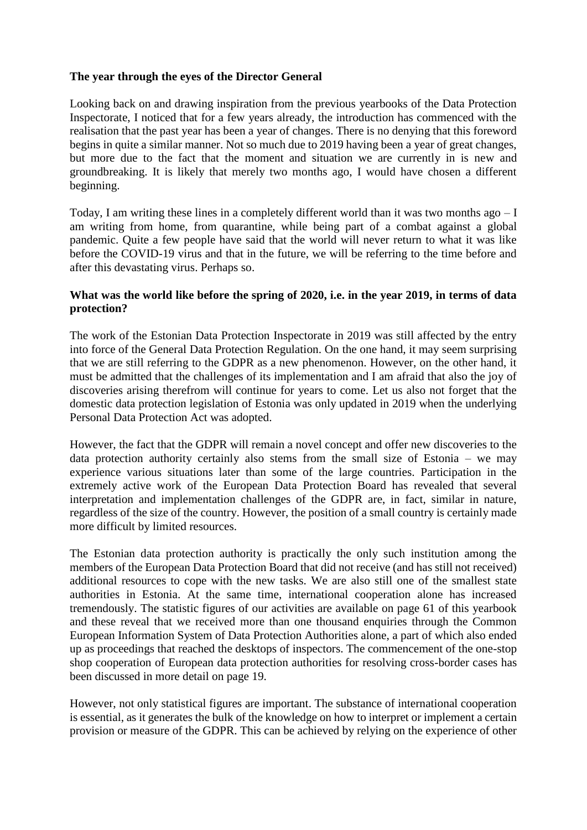## **The year through the eyes of the Director General**

Looking back on and drawing inspiration from the previous yearbooks of the Data Protection Inspectorate, I noticed that for a few years already, the introduction has commenced with the realisation that the past year has been a year of changes. There is no denying that this foreword begins in quite a similar manner. Not so much due to 2019 having been a year of great changes, but more due to the fact that the moment and situation we are currently in is new and groundbreaking. It is likely that merely two months ago, I would have chosen a different beginning.

Today, I am writing these lines in a completely different world than it was two months ago  $-I$ am writing from home, from quarantine, while being part of a combat against a global pandemic. Quite a few people have said that the world will never return to what it was like before the COVID-19 virus and that in the future, we will be referring to the time before and after this devastating virus. Perhaps so.

## **What was the world like before the spring of 2020, i.e. in the year 2019, in terms of data protection?**

The work of the Estonian Data Protection Inspectorate in 2019 was still affected by the entry into force of the General Data Protection Regulation. On the one hand, it may seem surprising that we are still referring to the GDPR as a new phenomenon. However, on the other hand, it must be admitted that the challenges of its implementation and I am afraid that also the joy of discoveries arising therefrom will continue for years to come. Let us also not forget that the domestic data protection legislation of Estonia was only updated in 2019 when the underlying Personal Data Protection Act was adopted.

However, the fact that the GDPR will remain a novel concept and offer new discoveries to the data protection authority certainly also stems from the small size of Estonia – we may experience various situations later than some of the large countries. Participation in the extremely active work of the European Data Protection Board has revealed that several interpretation and implementation challenges of the GDPR are, in fact, similar in nature, regardless of the size of the country. However, the position of a small country is certainly made more difficult by limited resources.

The Estonian data protection authority is practically the only such institution among the members of the European Data Protection Board that did not receive (and has still not received) additional resources to cope with the new tasks. We are also still one of the smallest state authorities in Estonia. At the same time, international cooperation alone has increased tremendously. The statistic figures of our activities are available on page 61 of this yearbook and these reveal that we received more than one thousand enquiries through the Common European Information System of Data Protection Authorities alone, a part of which also ended up as proceedings that reached the desktops of inspectors. The commencement of the one-stop shop cooperation of European data protection authorities for resolving cross-border cases has been discussed in more detail on page 19.

However, not only statistical figures are important. The substance of international cooperation is essential, as it generates the bulk of the knowledge on how to interpret or implement a certain provision or measure of the GDPR. This can be achieved by relying on the experience of other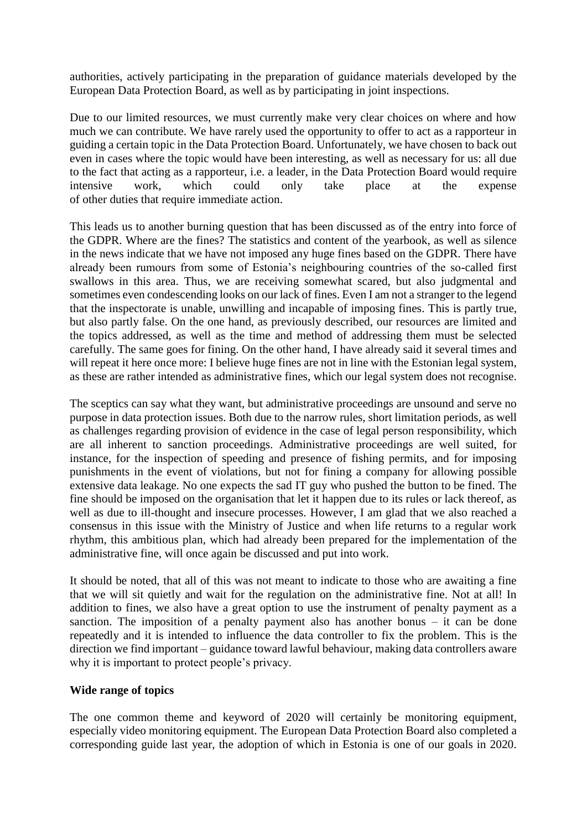authorities, actively participating in the preparation of guidance materials developed by the European Data Protection Board, as well as by participating in joint inspections.

Due to our limited resources, we must currently make very clear choices on where and how much we can contribute. We have rarely used the opportunity to offer to act as a rapporteur in guiding a certain topic in the Data Protection Board. Unfortunately, we have chosen to back out even in cases where the topic would have been interesting, as well as necessary for us: all due to the fact that acting as a rapporteur, i.e. a leader, in the Data Protection Board would require intensive work, which could only take place at the expense of other duties that require immediate action.

This leads us to another burning question that has been discussed as of the entry into force of the GDPR. Where are the fines? The statistics and content of the yearbook, as well as silence in the news indicate that we have not imposed any huge fines based on the GDPR. There have already been rumours from some of Estonia's neighbouring countries of the so-called first swallows in this area. Thus, we are receiving somewhat scared, but also judgmental and sometimes even condescending looks on our lack of fines. Even I am not a stranger to the legend that the inspectorate is unable, unwilling and incapable of imposing fines. This is partly true, but also partly false. On the one hand, as previously described, our resources are limited and the topics addressed, as well as the time and method of addressing them must be selected carefully. The same goes for fining. On the other hand, I have already said it several times and will repeat it here once more: I believe huge fines are not in line with the Estonian legal system, as these are rather intended as administrative fines, which our legal system does not recognise.

The sceptics can say what they want, but administrative proceedings are unsound and serve no purpose in data protection issues. Both due to the narrow rules, short limitation periods, as well as challenges regarding provision of evidence in the case of legal person responsibility, which are all inherent to sanction proceedings. Administrative proceedings are well suited, for instance, for the inspection of speeding and presence of fishing permits, and for imposing punishments in the event of violations, but not for fining a company for allowing possible extensive data leakage. No one expects the sad IT guy who pushed the button to be fined. The fine should be imposed on the organisation that let it happen due to its rules or lack thereof, as well as due to ill-thought and insecure processes. However, I am glad that we also reached a consensus in this issue with the Ministry of Justice and when life returns to a regular work rhythm, this ambitious plan, which had already been prepared for the implementation of the administrative fine, will once again be discussed and put into work.

It should be noted, that all of this was not meant to indicate to those who are awaiting a fine that we will sit quietly and wait for the regulation on the administrative fine. Not at all! In addition to fines, we also have a great option to use the instrument of penalty payment as a sanction. The imposition of a penalty payment also has another bonus – it can be done repeatedly and it is intended to influence the data controller to fix the problem. This is the direction we find important – guidance toward lawful behaviour, making data controllers aware why it is important to protect people's privacy.

## **Wide range of topics**

The one common theme and keyword of 2020 will certainly be monitoring equipment, especially video monitoring equipment. The European Data Protection Board also completed a corresponding guide last year, the adoption of which in Estonia is one of our goals in 2020.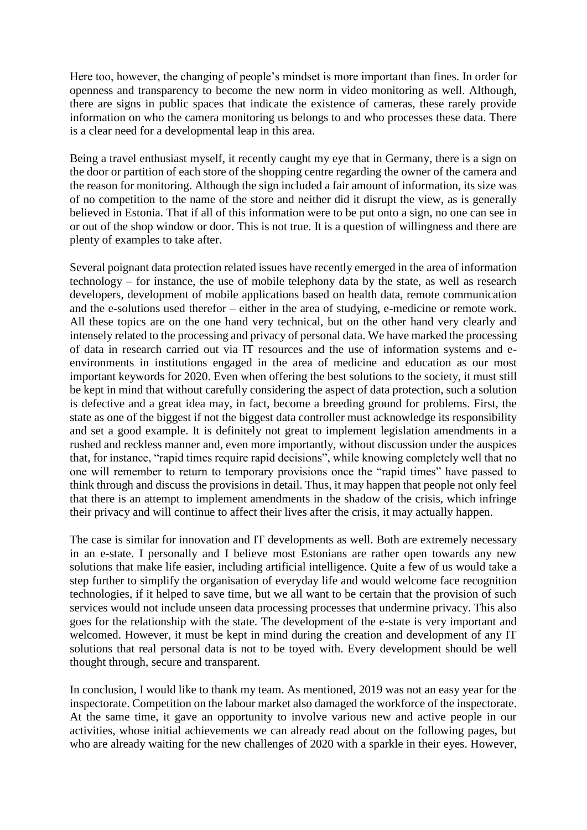Here too, however, the changing of people's mindset is more important than fines. In order for openness and transparency to become the new norm in video monitoring as well. Although, there are signs in public spaces that indicate the existence of cameras, these rarely provide information on who the camera monitoring us belongs to and who processes these data. There is a clear need for a developmental leap in this area.

Being a travel enthusiast myself, it recently caught my eye that in Germany, there is a sign on the door or partition of each store of the shopping centre regarding the owner of the camera and the reason for monitoring. Although the sign included a fair amount of information, its size was of no competition to the name of the store and neither did it disrupt the view, as is generally believed in Estonia. That if all of this information were to be put onto a sign, no one can see in or out of the shop window or door. This is not true. It is a question of willingness and there are plenty of examples to take after.

Several poignant data protection related issues have recently emerged in the area of information technology – for instance, the use of mobile telephony data by the state, as well as research developers, development of mobile applications based on health data, remote communication and the e-solutions used therefor – either in the area of studying, e-medicine or remote work. All these topics are on the one hand very technical, but on the other hand very clearly and intensely related to the processing and privacy of personal data. We have marked the processing of data in research carried out via IT resources and the use of information systems and eenvironments in institutions engaged in the area of medicine and education as our most important keywords for 2020. Even when offering the best solutions to the society, it must still be kept in mind that without carefully considering the aspect of data protection, such a solution is defective and a great idea may, in fact, become a breeding ground for problems. First, the state as one of the biggest if not the biggest data controller must acknowledge its responsibility and set a good example. It is definitely not great to implement legislation amendments in a rushed and reckless manner and, even more importantly, without discussion under the auspices that, for instance, "rapid times require rapid decisions", while knowing completely well that no one will remember to return to temporary provisions once the "rapid times" have passed to think through and discuss the provisions in detail. Thus, it may happen that people not only feel that there is an attempt to implement amendments in the shadow of the crisis, which infringe their privacy and will continue to affect their lives after the crisis, it may actually happen.

The case is similar for innovation and IT developments as well. Both are extremely necessary in an e-state. I personally and I believe most Estonians are rather open towards any new solutions that make life easier, including artificial intelligence. Quite a few of us would take a step further to simplify the organisation of everyday life and would welcome face recognition technologies, if it helped to save time, but we all want to be certain that the provision of such services would not include unseen data processing processes that undermine privacy. This also goes for the relationship with the state. The development of the e-state is very important and welcomed. However, it must be kept in mind during the creation and development of any IT solutions that real personal data is not to be toyed with. Every development should be well thought through, secure and transparent.

In conclusion, I would like to thank my team. As mentioned, 2019 was not an easy year for the inspectorate. Competition on the labour market also damaged the workforce of the inspectorate. At the same time, it gave an opportunity to involve various new and active people in our activities, whose initial achievements we can already read about on the following pages, but who are already waiting for the new challenges of 2020 with a sparkle in their eyes. However,